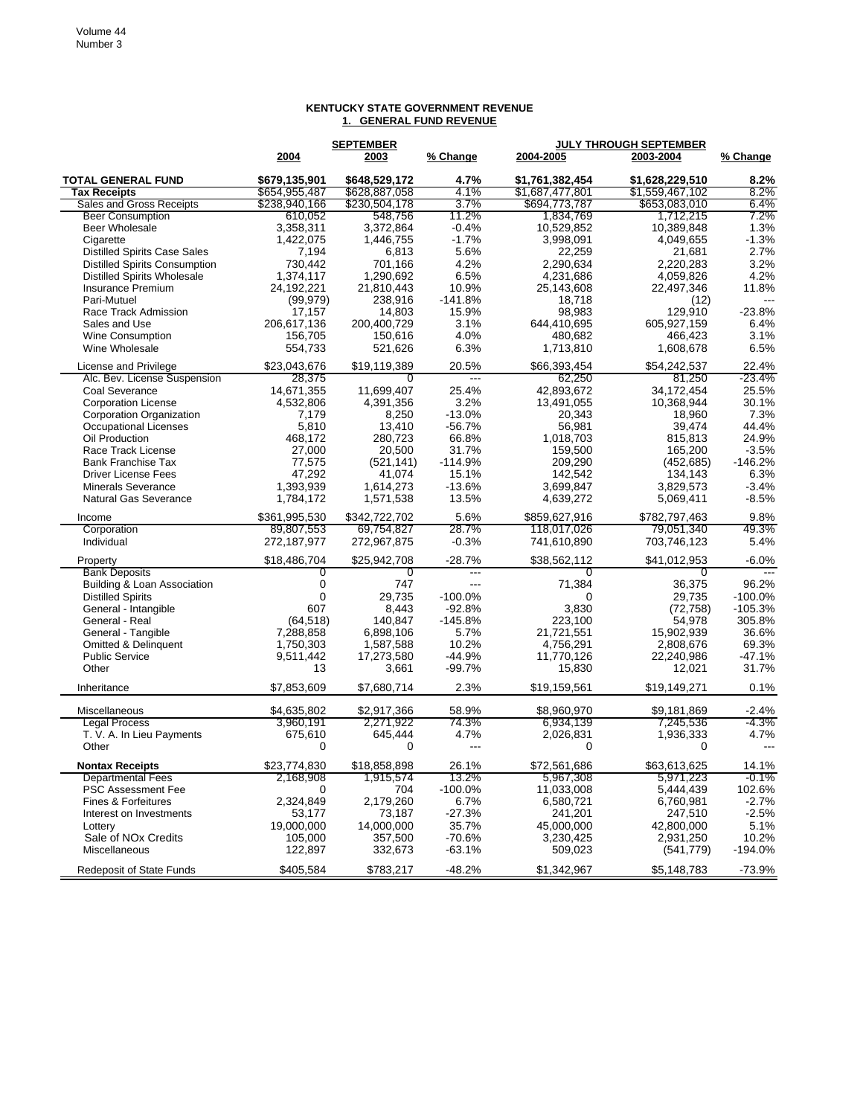|                                                       |                        | <b>SEPTEMBER</b>         |                | JULY THROUGH SEPTEMBER |                        |                   |
|-------------------------------------------------------|------------------------|--------------------------|----------------|------------------------|------------------------|-------------------|
|                                                       | 2004                   | 2003                     | % Change       | 2004-2005              | 2003-2004              | % Change          |
| <b>TOTAL GENERAL FUND</b>                             | \$679.135.901          | \$648,529,172            | 4.7%           | \$1,761,382,454        | \$1,628,229,510        | 8.2%              |
| <b>Tax Receipts</b>                                   | \$654,955,487          | \$628,887,058            | 4.1%           | \$1,687,477,801        | \$1,559,467,102        | 8.2%              |
| Sales and Gross Receipts                              | \$238,940,166          | \$230,504,178            | 3.7%           | \$694,773,787          | \$653,083,010          | 6.4%              |
| <b>Beer Consumption</b>                               | 610,052                | 548,756                  | 11.2%          | 1,834,769              | 1,712,215              | 7.2%              |
| <b>Beer Wholesale</b>                                 | 3,358,311              | 3,372,864                | $-0.4%$        | 10,529,852             | 10,389,848             | 1.3%              |
| Cigarette                                             | 1,422,075              | 1,446,755                | $-1.7%$        | 3,998,091              | 4,049,655              | $-1.3%$           |
| <b>Distilled Spirits Case Sales</b>                   | 7,194                  | 6,813                    | 5.6%           | 22,259                 | 21,681                 | 2.7%              |
| <b>Distilled Spirits Consumption</b>                  | 730,442                | 701,166                  | 4.2%           | 2,290,634              | 2,220,283              | 3.2%              |
| <b>Distilled Spirits Wholesale</b>                    | 1,374,117              | 1,290,692                | 6.5%           | 4,231,686              | 4,059,826              | 4.2%              |
| <b>Insurance Premium</b>                              | 24,192,221             | 21,810,443               | 10.9%          | 25,143,608             | 22,497,346             | 11.8%             |
| Pari-Mutuel                                           | (99, 979)              | 238,916                  | $-141.8%$      | 18.718                 | (12)                   |                   |
| Race Track Admission                                  | 17,157                 | 14,803                   | 15.9%          | 98,983                 | 129,910                | $-23.8%$          |
| Sales and Use                                         | 206.617.136            | 200,400,729              | 3.1%           | 644,410,695            | 605,927,159            | 6.4%              |
| Wine Consumption                                      | 156,705                | 150,616                  | 4.0%           | 480,682                | 466,423                | 3.1%              |
| Wine Wholesale                                        | 554,733                | 521,626                  | 6.3%           | 1,713,810              | 1,608,678              | 6.5%              |
|                                                       |                        |                          |                |                        |                        |                   |
| License and Privilege<br>Alc. Bev. License Suspension | \$23,043,676<br>28,375 | \$19,119,389<br>$\Omega$ | 20.5%<br>$---$ | \$66,393,454<br>62,250 | \$54,242,537<br>81,250 | 22.4%<br>$-23.4%$ |
| <b>Coal Severance</b>                                 | 14,671,355             | 11,699,407               | 25.4%          | 42,893,672             | 34,172,454             | 25.5%             |
| <b>Corporation License</b>                            | 4,532,806              | 4,391,356                | 3.2%           | 13,491,055             | 10,368,944             | 30.1%             |
| Corporation Organization                              | 7,179                  |                          | $-13.0%$       | 20,343                 | 18,960                 | 7.3%              |
| <b>Occupational Licenses</b>                          | 5,810                  | 8,250                    | $-56.7%$       |                        |                        | 44.4%             |
|                                                       |                        | 13,410                   | 66.8%          | 56,981                 | 39,474                 | 24.9%             |
| Oil Production                                        | 468,172                | 280,723                  |                | 1,018,703              | 815,813                |                   |
| Race Track License                                    | 27,000                 | 20,500                   | 31.7%          | 159,500                | 165,200                | $-3.5%$           |
| <b>Bank Franchise Tax</b>                             | 77,575                 | (521, 141)               | $-114.9%$      | 209,290                | (452, 685)             | $-146.2%$         |
| <b>Driver License Fees</b>                            | 47,292                 | 41,074                   | 15.1%          | 142,542                | 134,143                | 6.3%              |
| <b>Minerals Severance</b>                             | 1,393,939              | 1,614,273                | $-13.6%$       | 3,699,847              | 3,829,573              | $-3.4%$           |
| <b>Natural Gas Severance</b>                          | 1,784,172              | 1,571,538                | 13.5%          | 4,639,272              | 5,069,411              | $-8.5%$           |
| Income                                                | \$361,995,530          | \$342.722.702            | 5.6%           | \$859,627,916          | \$782,797,463          | 9.8%              |
| Corporation                                           | 89,807,553             | 69,754,827               | 28.7%          | 118.017.026            | 79,051,340             | 49.3%             |
| Individual                                            | 272,187,977            | 272,967,875              | $-0.3%$        | 741,610,890            | 703,746,123            | 5.4%              |
| Property                                              | \$18,486,704           | \$25,942,708             | $-28.7%$       | \$38,562,112           | \$41,012,953           | $-6.0%$           |
| <b>Bank Deposits</b>                                  | 0                      | 0                        | ---            | $\overline{0}$         | 0                      | $\overline{a}$    |
| Building & Loan Association                           | 0                      | 747                      | $---$          | 71,384                 | 36,375                 | 96.2%             |
| <b>Distilled Spirits</b>                              | 0                      | 29,735                   | $-100.0%$      | 0                      | 29,735                 | $-100.0%$         |
| General - Intangible                                  | 607                    | 8,443                    | $-92.8%$       | 3,830                  | (72, 758)              | $-105.3%$         |
| General - Real                                        | (64, 518)              | 140,847                  | $-145.8%$      | 223,100                | 54,978                 | 305.8%            |
| General - Tangible                                    | 7,288,858              | 6,898,106                | 5.7%           | 21,721,551             | 15,902,939             | 36.6%             |
| Omitted & Delinquent                                  | 1,750,303              | 1,587,588                | 10.2%          | 4,756,291              | 2,808,676              | 69.3%             |
| <b>Public Service</b>                                 | 9,511,442              | 17,273,580               | $-44.9%$       | 11,770,126             | 22,240,986             | $-47.1%$          |
| Other                                                 | 13                     | 3,661                    | $-99.7%$       | 15,830                 | 12,021                 | 31.7%             |
| Inheritance                                           | \$7,853,609            | \$7,680,714              | 2.3%           | \$19,159,561           | \$19,149,271           | 0.1%              |
| <b>Miscellaneous</b>                                  | \$4,635,802            | \$2,917,366              | 58.9%          | \$8,960,970            | \$9,181,869            | $-2.4%$           |
| <b>Legal Process</b>                                  | 3,960,191              | 2,271,922                | 74.3%          | 6,934,139              | 7,245,536              | -4.3%             |
| T. V. A. In Lieu Payments                             | 675,610                | 645,444                  | 4.7%           | 2,026,831              | 1,936,333              | 4.7%              |
| Other                                                 | 0                      | 0                        | ---            | 0                      | 0                      | ---               |
| <b>Nontax Receipts</b>                                | \$23,774,830           | \$18,858,898             | 26.1%          | \$72,561,686           | \$63,613,625           | 14.1%             |
| <b>Departmental Fees</b>                              | 2,168,908              | 1,915,574                | 13.2%          | 5,967,308              | 5,971,223              | -0.1%             |
| <b>PSC Assessment Fee</b>                             | 0                      | 704                      | $-100.0%$      | 11,033,008             | 5,444,439              | 102.6%            |
| <b>Fines &amp; Forfeitures</b>                        | 2.324.849              | 2,179,260                | 6.7%           | 6,580,721              | 6,760,981              | -2.7%             |
| Interest on Investments                               | 53,177                 | 73,187                   | $-27.3%$       | 241,201                | 247,510                | -2.5%             |
|                                                       |                        |                          | 35.7%          |                        |                        | 5.1%              |
| Lottery                                               | 19,000,000             | 14,000,000               |                | 45,000,000             | 42,800,000             | 10.2%             |
| Sale of NO <sub>x</sub> Credits                       | 105,000                | 357,500                  | $-70.6%$       | 3.230.425              | 2,931,250              |                   |
| Miscellaneous                                         | 122,897                | 332,673                  | $-63.1%$       | 509,023                | (541, 779)             | $-194.0%$         |
| Redeposit of State Funds                              | \$405,584              | \$783,217                | $-48.2%$       | \$1,342,967            | \$5,148,783            | $-73.9%$          |

## **KENTUCKY STATE GOVERNMENT REVENUE 1. GENERAL FUND REVENUE**